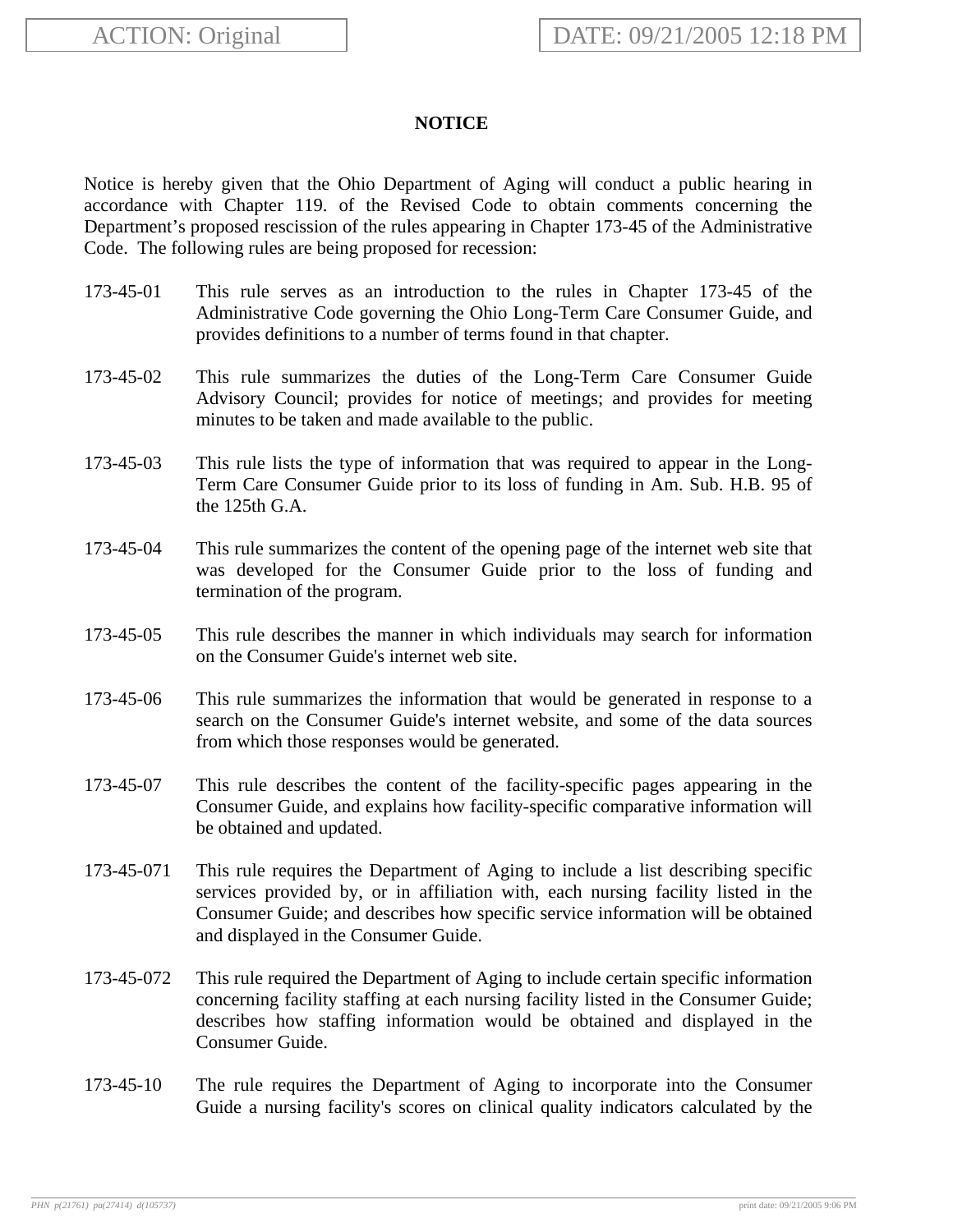## **NOTICE**

Notice is hereby given that the Ohio Department of Aging will conduct a public hearing in accordance with Chapter 119. of the Revised Code to obtain comments concerning the Department's proposed rescission of the rules appearing in Chapter 173-45 of the Administrative Code. The following rules are being proposed for recession:

- 173-45-01 This rule serves as an introduction to the rules in Chapter 173-45 of the Administrative Code governing the Ohio Long-Term Care Consumer Guide, and provides definitions to a number of terms found in that chapter.
- 173-45-02 This rule summarizes the duties of the Long-Term Care Consumer Guide Advisory Council; provides for notice of meetings; and provides for meeting minutes to be taken and made available to the public.
- 173-45-03 This rule lists the type of information that was required to appear in the Long-Term Care Consumer Guide prior to its loss of funding in Am. Sub. H.B. 95 of the 125th G.A.
- 173-45-04 This rule summarizes the content of the opening page of the internet web site that was developed for the Consumer Guide prior to the loss of funding and termination of the program.
- 173-45-05 This rule describes the manner in which individuals may search for information on the Consumer Guide's internet web site.
- 173-45-06 This rule summarizes the information that would be generated in response to a search on the Consumer Guide's internet website, and some of the data sources from which those responses would be generated.
- 173-45-07 This rule describes the content of the facility-specific pages appearing in the Consumer Guide, and explains how facility-specific comparative information will be obtained and updated.
- 173-45-071 This rule requires the Department of Aging to include a list describing specific services provided by, or in affiliation with, each nursing facility listed in the Consumer Guide; and describes how specific service information will be obtained and displayed in the Consumer Guide.
- 173-45-072 This rule required the Department of Aging to include certain specific information concerning facility staffing at each nursing facility listed in the Consumer Guide; describes how staffing information would be obtained and displayed in the Consumer Guide.
- 173-45-10 The rule requires the Department of Aging to incorporate into the Consumer Guide a nursing facility's scores on clinical quality indicators calculated by the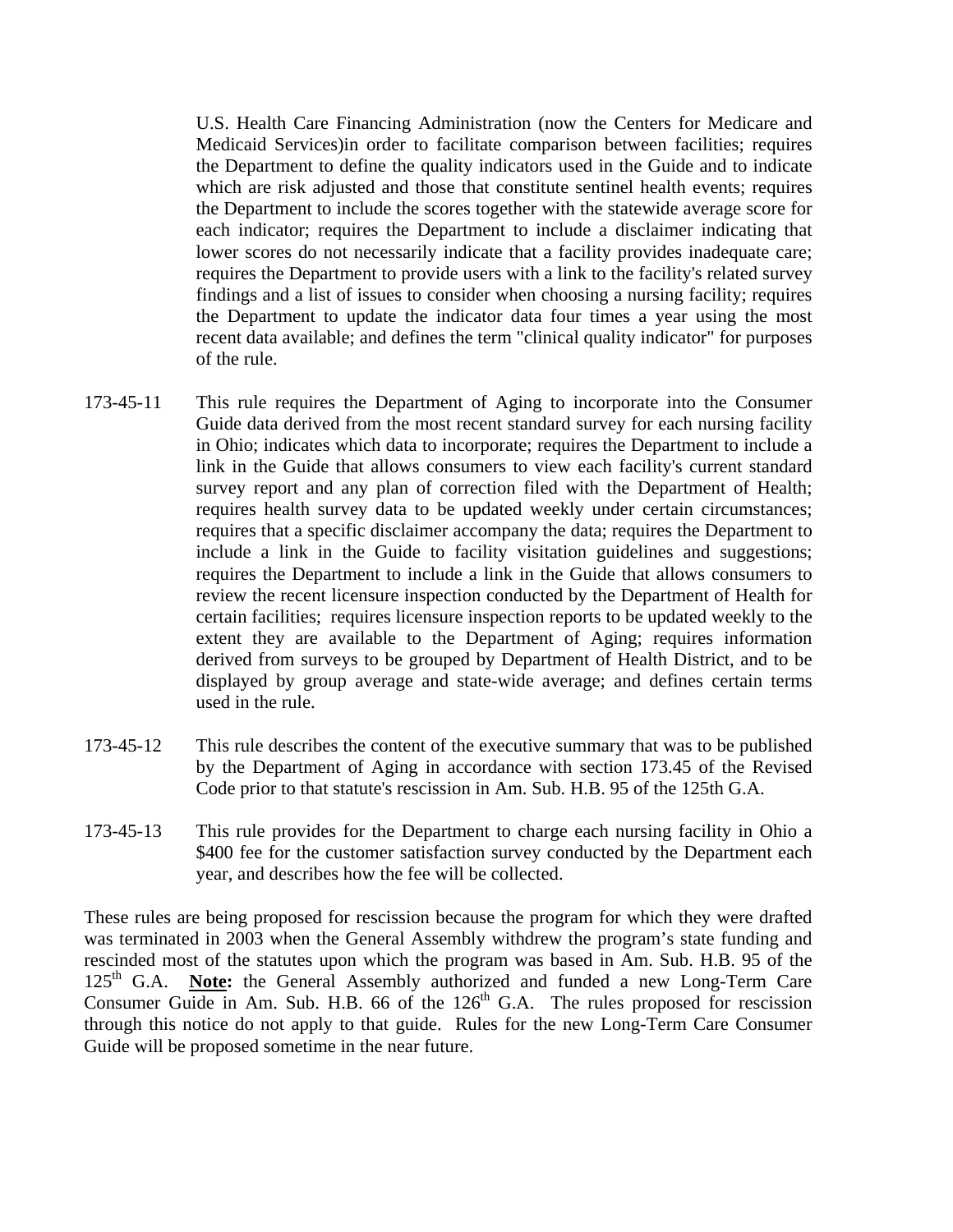U.S. Health Care Financing Administration (now the Centers for Medicare and Medicaid Services)in order to facilitate comparison between facilities; requires the Department to define the quality indicators used in the Guide and to indicate which are risk adjusted and those that constitute sentinel health events; requires the Department to include the scores together with the statewide average score for each indicator; requires the Department to include a disclaimer indicating that lower scores do not necessarily indicate that a facility provides inadequate care; requires the Department to provide users with a link to the facility's related survey findings and a list of issues to consider when choosing a nursing facility; requires the Department to update the indicator data four times a year using the most recent data available; and defines the term "clinical quality indicator" for purposes of the rule.

- 173-45-11 This rule requires the Department of Aging to incorporate into the Consumer Guide data derived from the most recent standard survey for each nursing facility in Ohio; indicates which data to incorporate; requires the Department to include a link in the Guide that allows consumers to view each facility's current standard survey report and any plan of correction filed with the Department of Health; requires health survey data to be updated weekly under certain circumstances; requires that a specific disclaimer accompany the data; requires the Department to include a link in the Guide to facility visitation guidelines and suggestions; requires the Department to include a link in the Guide that allows consumers to review the recent licensure inspection conducted by the Department of Health for certain facilities; requires licensure inspection reports to be updated weekly to the extent they are available to the Department of Aging; requires information derived from surveys to be grouped by Department of Health District, and to be displayed by group average and state-wide average; and defines certain terms used in the rule.
- 173-45-12 This rule describes the content of the executive summary that was to be published by the Department of Aging in accordance with section 173.45 of the Revised Code prior to that statute's rescission in Am. Sub. H.B. 95 of the 125th G.A.
- 173-45-13 This rule provides for the Department to charge each nursing facility in Ohio a \$400 fee for the customer satisfaction survey conducted by the Department each year, and describes how the fee will be collected.

These rules are being proposed for rescission because the program for which they were drafted was terminated in 2003 when the General Assembly withdrew the program's state funding and rescinded most of the statutes upon which the program was based in Am. Sub. H.B. 95 of the 125<sup>th</sup> G.A. **Note:** the General Assembly authorized and funded a new Long-Term Care Consumer Guide in Am. Sub. H.B. 66 of the  $126<sup>th</sup>$  G.A. The rules proposed for rescission through this notice do not apply to that guide. Rules for the new Long-Term Care Consumer Guide will be proposed sometime in the near future.